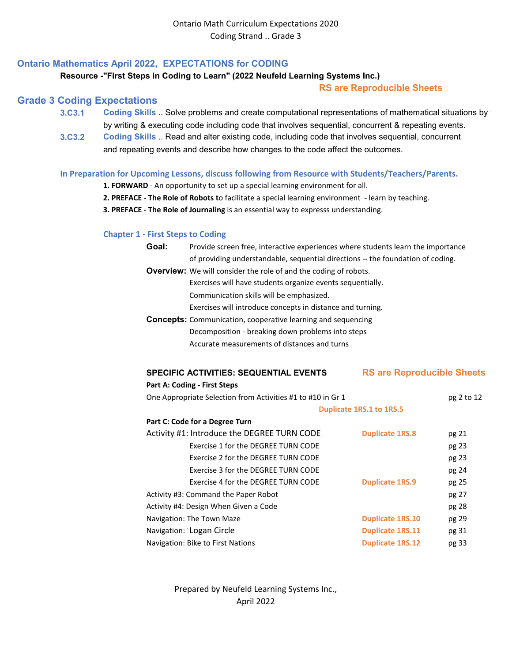# **Ontario Mathematics April 2022, EXPECTATIONS for CODING**

## **Resource -"First Steps in Coding to Learn" (2022 Neufeld Learning Systems Inc.)**

## **RS are Reproducible Sheets**

# **Grade 3 Coding Expectations**

- **3.C3.1 Coding Skills** .. Solve problems and create computational representations of mathematical situations by w by writing & executing code including code that involves sequential, concurrent & repeating events.
- **3.C3.2 [Coding Skills](https://www.dcp.edu.gov.on.ca/en/)** [.. Read and alter existing code, including code that involves sequential, concurrent](https://www.dcp.edu.gov.on.ca/en/)  and repeating events and describe how changes to the code affect the outcomes.

## **In Preparation for Upcoming Lessons, discuss following from Resource with Students/Teachers/Parents.**

- **1. FORWARD** An opportunity to set up a special learning environment for all.
- **2. PREFACE The Role of Robots t**o facilitate a special learning environment learn by teaching.
- **3. PREFACE The Role of Journaling** is an essential way to expresss understanding.

# **Chapter 1 - First Steps to Coding**

| Goal: | Provide screen free, interactive experiences where students learn the importance |
|-------|----------------------------------------------------------------------------------|
|       | of providing understandable, sequential directions -- the foundation of coding.  |
|       | <b>Overview:</b> We will consider the role of and the coding of robots.          |
|       | Exercises will have students organize events sequentially.                       |
|       | Communication skills will be emphasized.                                         |
|       | Exercises will introduce concepts in distance and turning.                       |
|       | <b>Concepts:</b> Communication, cooperative learning and sequencing              |
|       | Decomposition - breaking down problems into steps                                |
|       | Accurate measurements of distances and turns                                     |
|       |                                                                                  |

| <b>SPECIFIC ACTIVITIES: SEQUENTIAL EVENTS</b>               | <b>RS are Reproducible Sheets</b> |            |
|-------------------------------------------------------------|-----------------------------------|------------|
| <b>Part A: Coding - First Steps</b>                         |                                   |            |
| One Appropriate Selection from Activities #1 to #10 in Gr 1 |                                   | pg 2 to 12 |
|                                                             | Duplicate 1RS.1 to 1RS.5          |            |
| Part C: Code for a Degree Turn                              |                                   |            |
| Activity #1: Introduce the DEGREE TURN CODE                 | <b>Duplicate 1RS.8</b>            | pg 21      |
| Exercise 1 for the DEGREE TURN CODE                         |                                   | pg 23      |
| Exercise 2 for the DEGREE TURN CODE                         |                                   | pg 23      |
| Exercise 3 for the DEGREE TURN CODE                         |                                   | pg 24      |
| Exercise 4 for the DEGREE TURN CODE                         | <b>Duplicate 1RS.9</b>            | pg 25      |
| Activity #3: Command the Paper Robot                        |                                   | pg 27      |
| Activity #4: Design When Given a Code                       |                                   | pg 28      |
| Navigation: The Town Maze                                   | <b>Duplicate 1RS.10</b>           | pg 29      |
| Navigation: Logan Circle                                    | <b>Duplicate 1RS.11</b>           | pg 31      |
| Navigation: Bike to First Nations                           | <b>Duplicate 1RS.12</b>           | pg 33      |

Prepared by Neufeld Learning Systems Inc., April 2022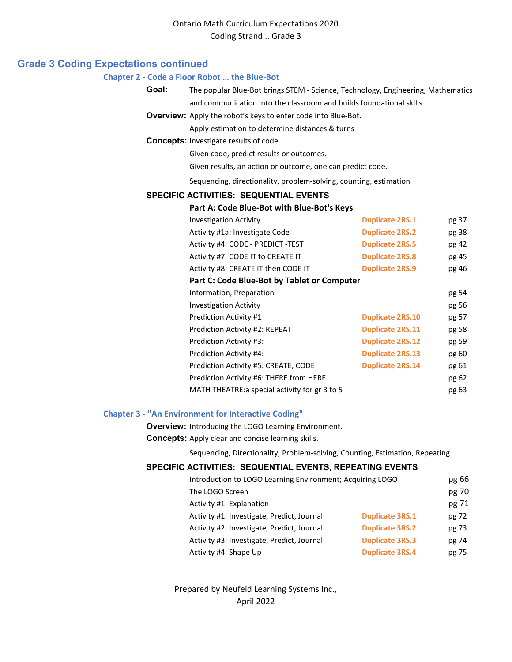## **Grade 3 Coding Expectations continued**

#### **Chapter 2 - Code a Floor Robot … the Blue-Bot**

**Goal:** The popular Blue-Bot brings STEM - Science, Technology, Engineering, Mathematics and communication into the classroom and builds foundational skills

**Overview:** Apply the robot's keys to enter code into Blue-Bot.

Apply estimation to determine distances & turns

**Concepts:** Investigate results of code.

Given code, predict results or outcomes.

Given results, an action or outcome, one can predict code.

Sequencing, directionality, problem-solving, counting, estimation

### **SPECIFIC ACTIVITIES: SEQUENTIAL EVENTS**

### **Part A: Code Blue-Bot with Blue-Bot's Keys**

| <b>Investigation Activity</b>                  | <b>Duplicate 2RS.1</b>  | pg 37 |
|------------------------------------------------|-------------------------|-------|
| Activity #1a: Investigate Code                 | <b>Duplicate 2RS.2</b>  | pg 38 |
| Activity #4: CODE - PREDICT -TEST              | <b>Duplicate 2RS.5</b>  | pg 42 |
| Activity #7: CODE IT to CREATE IT              | <b>Duplicate 2RS.8</b>  | pg 45 |
| Activity #8: CREATE IT then CODE IT            | <b>Duplicate 2RS.9</b>  | pg 46 |
| Part C: Code Blue-Bot by Tablet or Computer    |                         |       |
| Information, Preparation                       |                         | pg 54 |
| <b>Investigation Activity</b>                  |                         | pg 56 |
| <b>Prediction Activity #1</b>                  | <b>Duplicate 2RS.10</b> | pg 57 |
| Prediction Activity #2: REPEAT                 | <b>Duplicate 2RS.11</b> | pg 58 |
| Prediction Activity #3:                        | <b>Duplicate 2RS.12</b> | pg 59 |
| Prediction Activity #4:                        | <b>Duplicate 2RS.13</b> | pg 60 |
| Prediction Activity #5: CREATE, CODE           | <b>Duplicate 2RS.14</b> | pg 61 |
| Prediction Activity #6: THERE from HERE        |                         | pg 62 |
| MATH THEATRE: a special activity for gr 3 to 5 |                         | pg 63 |
|                                                |                         |       |

#### **Chapter 3 - "An Environment for Interactive Coding"**

**Overview:** Introducing the LOGO Learning Environment.

**Concepts:** Apply clear and concise learning skills.

Sequencing, Directionality, Problem-solving, Counting, Estimation, Repeating

### **SPECIFIC ACTIVITIES: SEQUENTIAL EVENTS, REPEATING EVENTS**

| Introduction to LOGO Learning Environment; Acquiring LOGO |                        | pg 66 |
|-----------------------------------------------------------|------------------------|-------|
| The LOGO Screen                                           |                        | pg 70 |
| Activity #1: Explanation                                  |                        | pg 71 |
| Activity #1: Investigate, Predict, Journal                | <b>Duplicate 3RS.1</b> | pg 72 |
| Activity #2: Investigate, Predict, Journal                | <b>Duplicate 3RS.2</b> | pg 73 |
| Activity #3: Investigate, Predict, Journal                | <b>Duplicate 3RS.3</b> | pg 74 |
| Activity #4: Shape Up                                     | <b>Duplicate 3RS.4</b> | pg 75 |

Prepared by Neufeld Learning Systems Inc., April 2022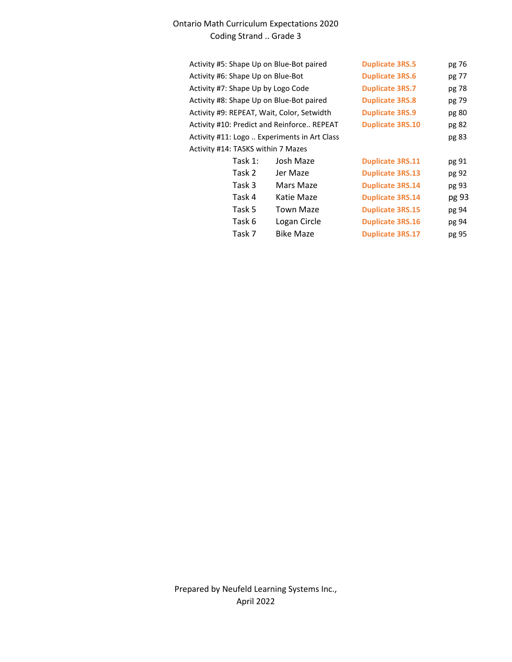# Ontario Math Curriculum Expectations 2020 Coding Strand .. Grade 3

| Activity #5: Shape Up on Blue-Bot paired     |                  | <b>Duplicate 3RS.5</b>  | pg 76 |
|----------------------------------------------|------------------|-------------------------|-------|
| Activity #6: Shape Up on Blue-Bot            |                  | <b>Duplicate 3RS.6</b>  | pg 77 |
| Activity #7: Shape Up by Logo Code           |                  | <b>Duplicate 3RS.7</b>  | pg 78 |
| Activity #8: Shape Up on Blue-Bot paired     |                  | <b>Duplicate 3RS.8</b>  | pg 79 |
| Activity #9: REPEAT, Wait, Color, Setwidth   |                  | <b>Duplicate 3RS.9</b>  | pg 80 |
| Activity #10: Predict and Reinforce REPEAT   |                  | <b>Duplicate 3RS.10</b> | pg 82 |
| Activity #11: Logo  Experiments in Art Class |                  |                         | pg 83 |
| Activity #14: TASKS within 7 Mazes           |                  |                         |       |
| Task 1:                                      | Josh Maze        | <b>Duplicate 3RS.11</b> | pg 91 |
| Task 2                                       | Jer Maze         | <b>Duplicate 3RS.13</b> | pg 92 |
| Task 3                                       | Mars Maze        | <b>Duplicate 3RS.14</b> | pg 93 |
| Task 4                                       | Katie Maze       | <b>Duplicate 3RS.14</b> | pg 93 |
| Task 5                                       | <b>Town Maze</b> | <b>Duplicate 3RS.15</b> | pg 94 |
| Task 6                                       | Logan Circle     | <b>Duplicate 3RS.16</b> | pg 94 |
| Task 7                                       | <b>Bike Maze</b> | <b>Duplicate 3RS.17</b> | pg 95 |
|                                              |                  |                         |       |